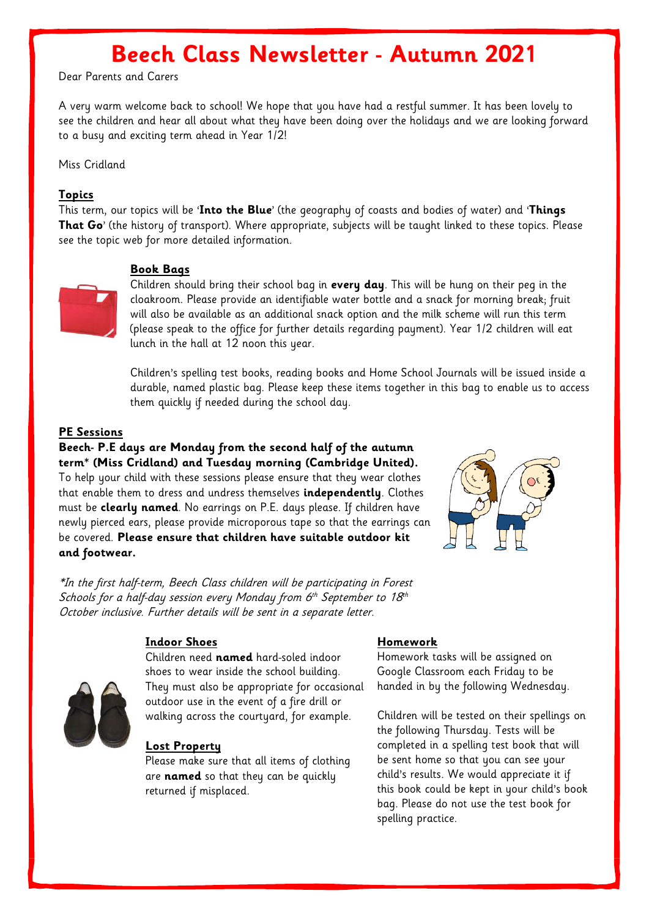# **Beech Class Newsletter - Autumn 2021**

Dear Parents and Carers

A very warm welcome back to school! We hope that you have had a restful summer. It has been lovely to see the children and hear all about what they have been doing over the holidays and we are looking forward to a busy and exciting term ahead in Year 1/2!

Miss Cridland

### **Topics**

This term, our topics will be '**Into the Blue**' (the geography of coasts and bodies of water) and '**Things That Go**' (the history of transport). Where appropriate, subjects will be taught linked to these topics. Please see the topic web for more detailed information.

## **Book Bags**



Children should bring their school bag in **every day**. This will be hung on their peg in the cloakroom. Please provide an identifiable water bottle and a snack for morning break; fruit will also be available as an additional snack option and the milk scheme will run this term (please speak to the office for further details regarding payment). Year 1/2 children will eat lunch in the hall at 12 noon this year.

Children's spelling test books, reading books and Home School Journals will be issued inside a durable, named plastic bag. Please keep these items together in this bag to enable us to access them quickly if needed during the school day.

## **PE Sessions**

**Beech- P.E days are Monday from the second half of the autumn term\* (Miss Cridland) and Tuesday morning (Cambridge United).** To help your child with these sessions please ensure that they wear clothes that enable them to dress and undress themselves **independently**. Clothes must be **clearly named**. No earrings on P.E. days please. If children have newly pierced ears, please provide microporous tape so that the earrings can be covered. **Please ensure that children have suitable outdoor kit and footwear.**



\*In the first half-term, Beech Class children will be participating in Forest Schools for a half-day session every Monday from 6 $^{\rm th}$  September to 18 $^{\rm th}$ October inclusive. Further details will be sent in a separate letter.



#### **Indoor Shoes**

Children need **named** hard-soled indoor shoes to wear inside the school building. They must also be appropriate for occasional outdoor use in the event of a fire drill or walking across the courtyard, for example.

#### **Lost Property**

Please make sure that all items of clothing are **named** so that they can be quickly returned if misplaced.

#### **Homework**

Homework tasks will be assigned on Google Classroom each Friday to be handed in by the following Wednesday.

Children will be tested on their spellings on the following Thursday. Tests will be completed in a spelling test book that will be sent home so that you can see your child's results. We would appreciate it if this book could be kept in your child's book bag. Please do not use the test book for spelling practice.